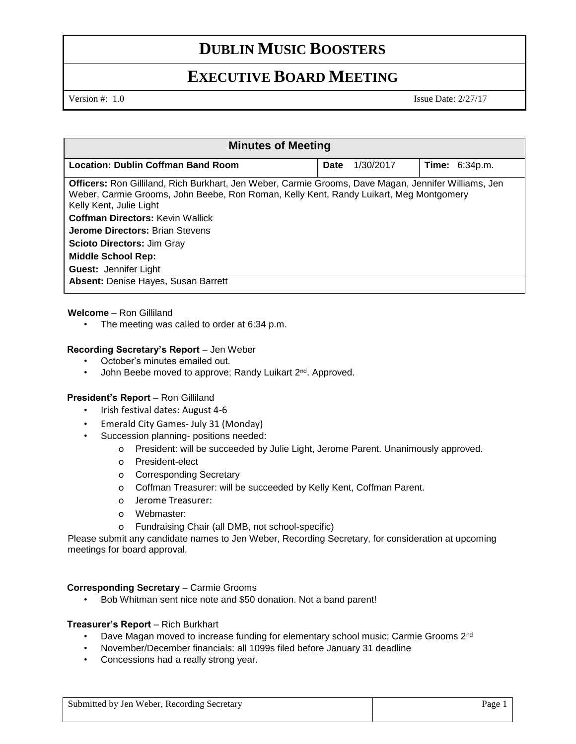# **DUBLIN MUSIC BOOSTERS**

## **EXECUTIVE BOARD MEETING**

Version #: 1.0 Issue Date: 2/27/17

| <b>Minutes of Meeting</b>                                                                                                                                                                                                                                                                                                                                                                                               |             |           |                       |
|-------------------------------------------------------------------------------------------------------------------------------------------------------------------------------------------------------------------------------------------------------------------------------------------------------------------------------------------------------------------------------------------------------------------------|-------------|-----------|-----------------------|
| <b>Location: Dublin Coffman Band Room</b>                                                                                                                                                                                                                                                                                                                                                                               | <b>Date</b> | 1/30/2017 | <b>Time:</b> 6:34p.m. |
| <b>Officers:</b> Ron Gilliland, Rich Burkhart, Jen Weber, Carmie Grooms, Dave Magan, Jennifer Williams, Jen<br>Weber, Carmie Grooms, John Beebe, Ron Roman, Kelly Kent, Randy Luikart, Meg Montgomery<br>Kelly Kent, Julie Light<br><b>Coffman Directors: Kevin Wallick</b><br><b>Jerome Directors: Brian Stevens</b><br><b>Scioto Directors: Jim Gray</b><br><b>Middle School Rep:</b><br><b>Guest: Jennifer Light</b> |             |           |                       |
| <b>Absent: Denise Hayes, Susan Barrett</b>                                                                                                                                                                                                                                                                                                                                                                              |             |           |                       |

### **Welcome** – Ron Gilliland

The meeting was called to order at 6:34 p.m.

### **Recording Secretary's Report** – Jen Weber

- October's minutes emailed out.
- John Beebe moved to approve; Randy Luikart 2<sup>nd</sup>. Approved.

#### **President's Report** – Ron Gilliland

- Irish festival dates: August 4-6
- Emerald City Games- July 31 (Monday)
- Succession planning- positions needed:
	- o President: will be succeeded by Julie Light, Jerome Parent. Unanimously approved.
	- o President-elect
	- o Corresponding Secretary
	- o Coffman Treasurer: will be succeeded by Kelly Kent, Coffman Parent.
	- o Jerome Treasurer:
	- o Webmaster:
	- o Fundraising Chair (all DMB, not school-specific)

Please submit any candidate names to Jen Weber, Recording Secretary, for consideration at upcoming meetings for board approval.

#### **Corresponding Secretary** – Carmie Grooms

• Bob Whitman sent nice note and \$50 donation. Not a band parent!

#### **Treasurer's Report** – Rich Burkhart

- Dave Magan moved to increase funding for elementary school music; Carmie Grooms 2<sup>nd</sup>
- November/December financials: all 1099s filed before January 31 deadline
- Concessions had a really strong year.